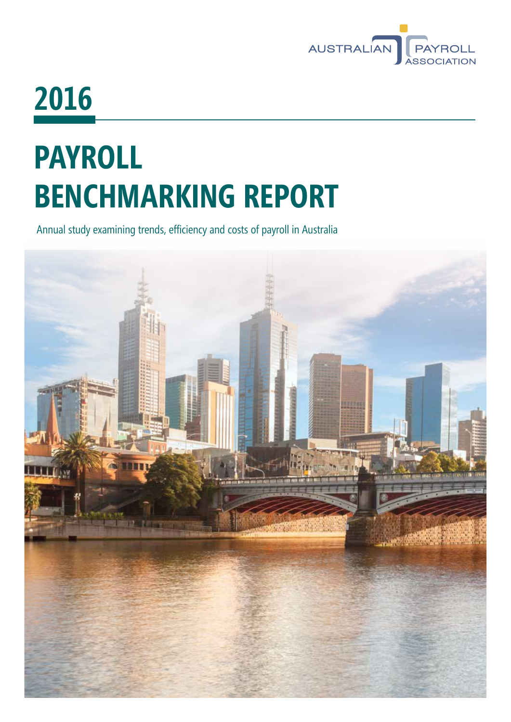

# **2016**

# **PAYROLL BENCHMARKING REPORT**

Annual study examining trends, efficiency and costs of payroll in Australia

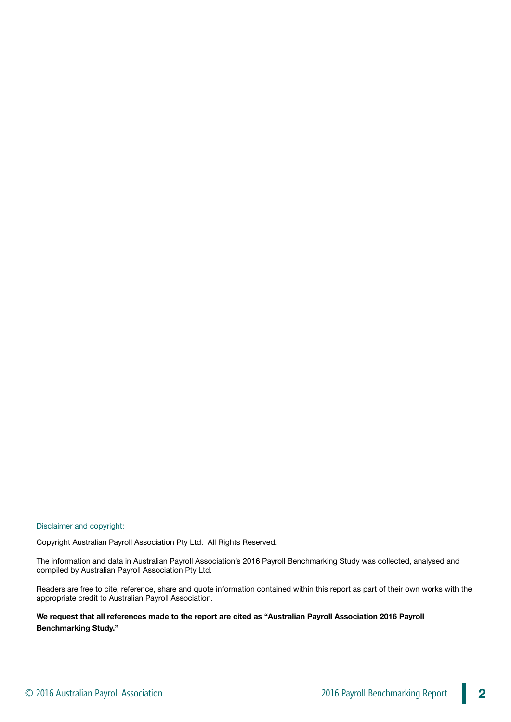Disclaimer and copyright:

Copyright Australian Payroll Association Pty Ltd. All Rights Reserved.

The information and data in Australian Payroll Association's 2016 Payroll Benchmarking Study was collected, analysed and compiled by Australian Payroll Association Pty Ltd.

Readers are free to cite, reference, share and quote information contained within this report as part of their own works with the appropriate credit to Australian Payroll Association.

**We request that all references made to the report are cited as "Australian Payroll Association 2016 Payroll Benchmarking Study."**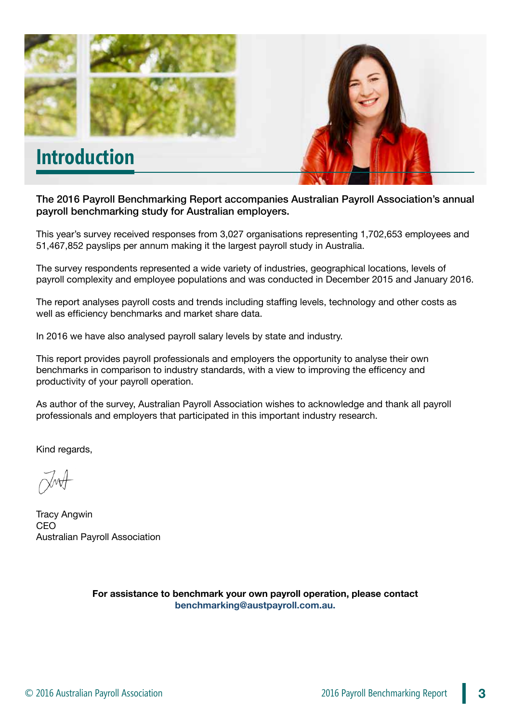

The 2016 Payroll Benchmarking Report accompanies Australian Payroll Association's annual payroll benchmarking study for Australian employers.

This year's survey received responses from 3,027 organisations representing 1,702,653 employees and 51,467,852 payslips per annum making it the largest payroll study in Australia.

The survey respondents represented a wide variety of industries, geographical locations, levels of payroll complexity and employee populations and was conducted in December 2015 and January 2016.

The report analyses payroll costs and trends including staffing levels, technology and other costs as well as efficiency benchmarks and market share data.

In 2016 we have also analysed payroll salary levels by state and industry.

This report provides payroll professionals and employers the opportunity to analyse their own benchmarks in comparison to industry standards, with a view to improving the efficency and productivity of your payroll operation.

As author of the survey, Australian Payroll Association wishes to acknowledge and thank all payroll professionals and employers that participated in this important industry research.

Kind regards,

Tracy Angwin CEO Australian Payroll Association

**For assistance to benchmark your own payroll operation, please contact benchmarking@austpayroll.com.au.**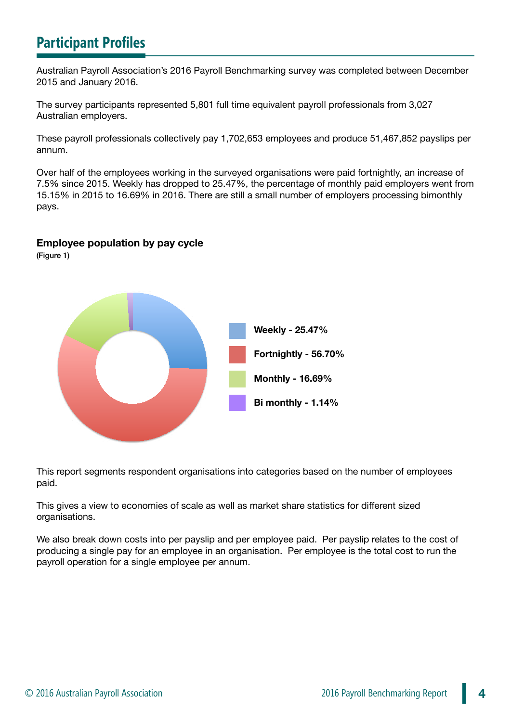# **Participant Profiles**

Australian Payroll Association's 2016 Payroll Benchmarking survey was completed between December 2015 and January 2016.

The survey participants represented 5,801 full time equivalent payroll professionals from 3,027 Australian employers.

These payroll professionals collectively pay 1,702,653 employees and produce 51,467,852 payslips per annum.

Over half of the employees working in the surveyed organisations were paid fortnightly, an increase of 7.5% since 2015. Weekly has dropped to 25.47%, the percentage of monthly paid employers went from 15.15% in 2015 to 16.69% in 2016. There are still a small number of employers processing bimonthly pays.

#### **Employee population by pay cycle**

(Figure 1)



This report segments respondent organisations into categories based on the number of employees paid.

This gives a view to economies of scale as well as market share statistics for different sized organisations.

We also break down costs into per payslip and per employee paid. Per payslip relates to the cost of producing a single pay for an employee in an organisation. Per employee is the total cost to run the payroll operation for a single employee per annum.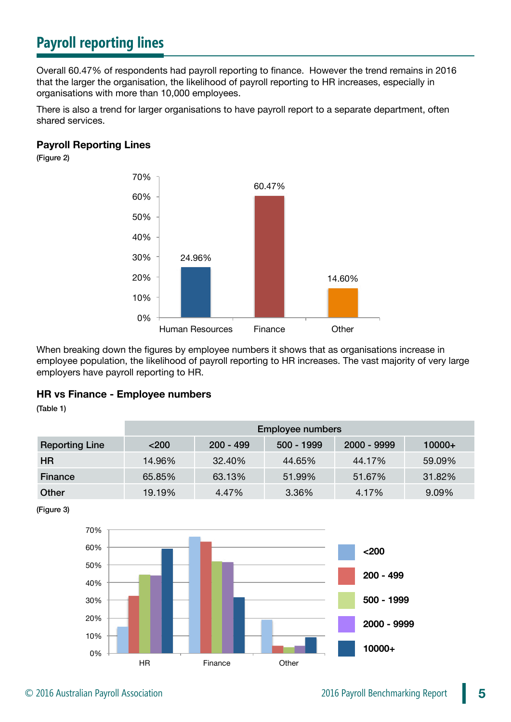# **Payroll reporting lines**

Overall 60.47% of respondents had payroll reporting to finance. However the trend remains in 2016 that the larger the organisation, the likelihood of payroll reporting to HR increases, especially in organisations with more than 10,000 employees.

There is also a trend for larger organisations to have payroll report to a separate department, often shared services.

#### **Payroll Reporting Lines**

(Figure 2)



When breaking down the figures by employee numbers it shows that as organisations increase in employee population, the likelihood of payroll reporting to HR increases. The vast majority of very large employers have payroll reporting to HR.

#### **HR vs Finance - Employee numbers**

(Table 1)

|                       | <b>Employee numbers</b> |             |            |             |          |
|-----------------------|-------------------------|-------------|------------|-------------|----------|
| <b>Reporting Line</b> | < 200                   | $200 - 499$ | 500 - 1999 | 2000 - 9999 | $10000+$ |
| <b>HR</b>             | 14.96%                  | 32.40%      | 44.65%     | 44.17%      | 59.09%   |
| Finance               | 65.85%                  | 63.13%      | 51.99%     | 51.67%      | 31.82%   |
| Other                 | 19.19%                  | 4.47%       | 3.36%      | 4.17%       | 9.09%    |

(Figure 3)

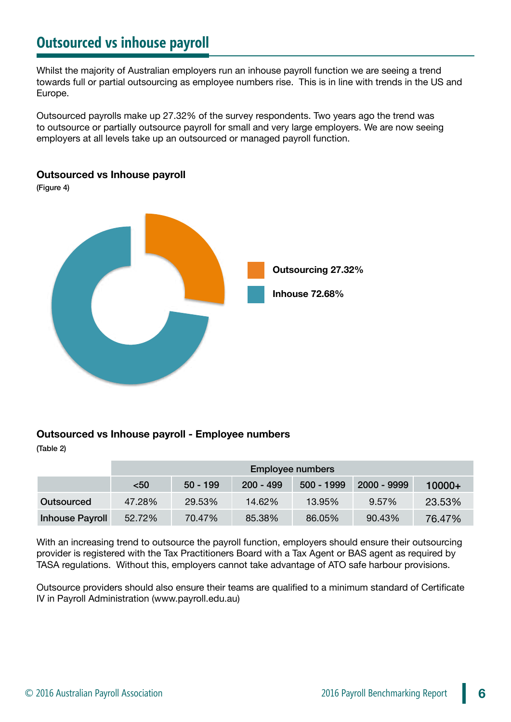# **Outsourced vs inhouse payroll**

Whilst the majority of Australian employers run an inhouse payroll function we are seeing a trend towards full or partial outsourcing as employee numbers rise. This is in line with trends in the US and Europe.

Outsourced payrolls make up 27.32% of the survey respondents. Two years ago the trend was to outsource or partially outsource payroll for small and very large employers. We are now seeing employers at all levels take up an outsourced or managed payroll function.

#### **Outsourced vs Inhouse payroll**

(Figure 4)



#### **Outsourced vs Inhouse payroll - Employee numbers**

(Table 2)

|                        | <b>Employee numbers</b> |            |             |            |             |          |
|------------------------|-------------------------|------------|-------------|------------|-------------|----------|
|                        | $50$                    | $50 - 199$ | $200 - 499$ | 500 - 1999 | 2000 - 9999 | $10000+$ |
| Outsourced             | 47.28%                  | 29.53%     | 14.62%      | 13.95%     | 9.57%       | 23.53%   |
| <b>Inhouse Payroll</b> | 52.72%                  | 70.47%     | 85.38%      | 86.05%     | 90.43%      | 76.47%   |

With an increasing trend to outsource the payroll function, employers should ensure their outsourcing provider is registered with the Tax Practitioners Board with a Tax Agent or BAS agent as required by TASA regulations. Without this, employers cannot take advantage of ATO safe harbour provisions.

Outsource providers should also ensure their teams are qualified to a minimum standard of Certificate IV in Payroll Administration (www.payroll.edu.au)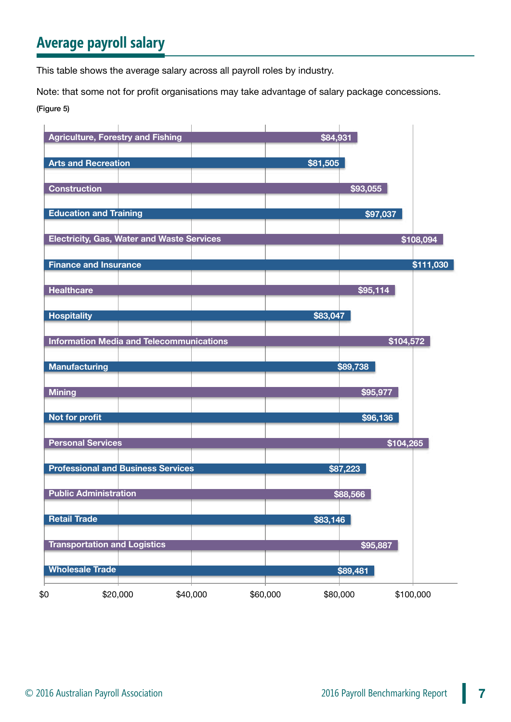# **Average payroll salary**

This table shows the average salary across all payroll roles by industry.

Note: that some not for profit organisations may take advantage of salary package concessions.

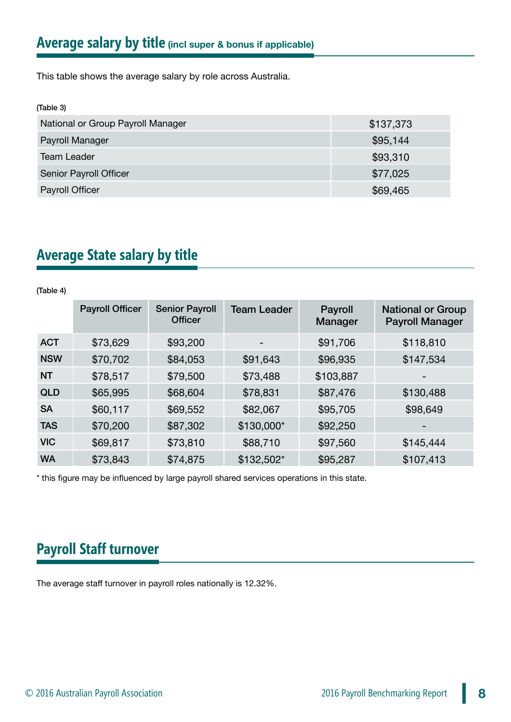This table shows the average salary by role across Australia.

| (Table 3)                         |           |
|-----------------------------------|-----------|
| National or Group Payroll Manager | \$137,373 |
| Payroll Manager                   | \$95,144  |
| <b>Team Leader</b>                | \$93,310  |
| Senior Payroll Officer            | \$77,025  |
| Payroll Officer                   | \$69,465  |

# **Average State salary by title**

#### (Table 4)

|            | <b>Payroll Officer</b> | <b>Senior Payroll</b><br><b>Officer</b> | <b>Team Leader</b> | Payroll<br>Manager | <b>National or Group</b><br><b>Payroll Manager</b> |
|------------|------------------------|-----------------------------------------|--------------------|--------------------|----------------------------------------------------|
| <b>ACT</b> | \$73,629               | \$93,200                                | -                  | \$91,706           | \$118,810                                          |
| <b>NSW</b> | \$70,702               | \$84,053                                | \$91,643           | \$96,935           | \$147,534                                          |
| <b>NT</b>  | \$78,517               | \$79,500                                | \$73,488           | \$103,887          |                                                    |
| <b>QLD</b> | \$65,995               | \$68,604                                | \$78,831           | \$87,476           | \$130,488                                          |
| <b>SA</b>  | \$60,117               | \$69,552                                | \$82,067           | \$95,705           | \$98,649                                           |
| <b>TAS</b> | \$70,200               | \$87,302                                | \$130,000*         | \$92,250           | $\qquad \qquad \blacksquare$                       |
| <b>VIC</b> | \$69,817               | \$73,810                                | \$88,710           | \$97,560           | \$145,444                                          |
| <b>WA</b>  | \$73,843               | \$74,875                                | \$132,502*         | \$95,287           | \$107,413                                          |

\* this figure may be influenced by large payroll shared services operations in this state.

# **Payroll Staff turnover**

The average staff turnover in payroll roles nationally is 12.32%.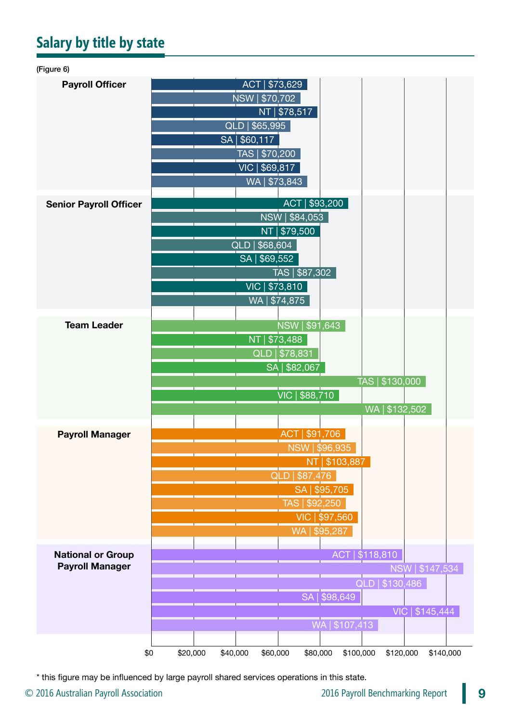# **Salary by title by state**

| (Figure 6)                    |                                                                                            |
|-------------------------------|--------------------------------------------------------------------------------------------|
| <b>Payroll Officer</b>        | \$73,629<br><b>ACT</b>                                                                     |
|                               | NSW   \$70,702                                                                             |
|                               | NT   \$78,517                                                                              |
|                               | QLD   \$65,995                                                                             |
|                               | SA   \$60,117                                                                              |
|                               | TAS   \$70,200                                                                             |
|                               | VIC   \$69,817                                                                             |
|                               | WA   \$73,843                                                                              |
|                               | ACT   \$93,200                                                                             |
| <b>Senior Payroll Officer</b> | NSW   \$84,053                                                                             |
|                               | \$79,500<br><b>NT</b>                                                                      |
|                               | QLD   \$68,604                                                                             |
|                               | SA   \$69,552                                                                              |
|                               | TAS   \$87,302                                                                             |
|                               | VIC   \$73,810                                                                             |
|                               | WA   \$74,875                                                                              |
|                               |                                                                                            |
| <b>Team Leader</b>            | NSW   \$91,643                                                                             |
|                               | NT   \$73,488                                                                              |
|                               | QLD   \$78,831                                                                             |
|                               | SA   \$82,067                                                                              |
|                               | TAS   \$130,000                                                                            |
|                               | VIC   \$88,710                                                                             |
|                               | WA   \$132,502                                                                             |
|                               |                                                                                            |
| <b>Payroll Manager</b>        | ACT   \$91,706                                                                             |
|                               | NSW   \$96,935                                                                             |
|                               | \$103,887<br><b>NT</b>                                                                     |
|                               | <b>QLD</b><br>\$87,476                                                                     |
|                               | SA   \$95,705                                                                              |
|                               | TAS   \$92,250                                                                             |
|                               | VIC   \$97,560<br>WA   \$95,287                                                            |
|                               |                                                                                            |
| <b>National or Group</b>      | ACT   \$118,810                                                                            |
| <b>Payroll Manager</b>        | NSW   \$147,534                                                                            |
|                               | QLD   \$130,486                                                                            |
|                               | SA   \$98,649                                                                              |
|                               | VIC   \$145,444                                                                            |
|                               | WA   \$107,413                                                                             |
|                               |                                                                                            |
|                               | \$0<br>\$20,000<br>\$40,000<br>\$100,000<br>\$120,000<br>\$60,000<br>\$80,000<br>\$140,000 |

\* this figure may be influenced by large payroll shared services operations in this state.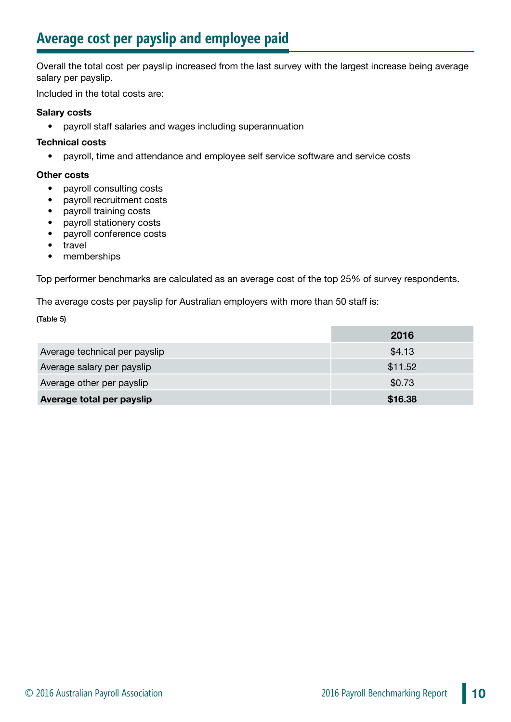# **Average cost per payslip and employee paid**

Overall the total cost per payslip increased from the last survey with the largest increase being average salary per payslip.

Included in the total costs are:

#### **Salary costs**

• payroll staff salaries and wages including superannuation

#### **Technical costs**

• payroll, time and attendance and employee self service software and service costs

#### **Other costs**

- payroll consulting costs
- payroll recruitment costs
- payroll training costs
- payroll stationery costs
- payroll conference costs
- travel
- memberships

Top performer benchmarks are calculated as an average cost of the top 25% of survey respondents.

The average costs per payslip for Australian employers with more than 50 staff is:

(Table 5)

|                               | 2016    |
|-------------------------------|---------|
| Average technical per payslip | \$4.13  |
| Average salary per payslip    | \$11.52 |
| Average other per payslip     | \$0.73  |
| Average total per payslip     | \$16.38 |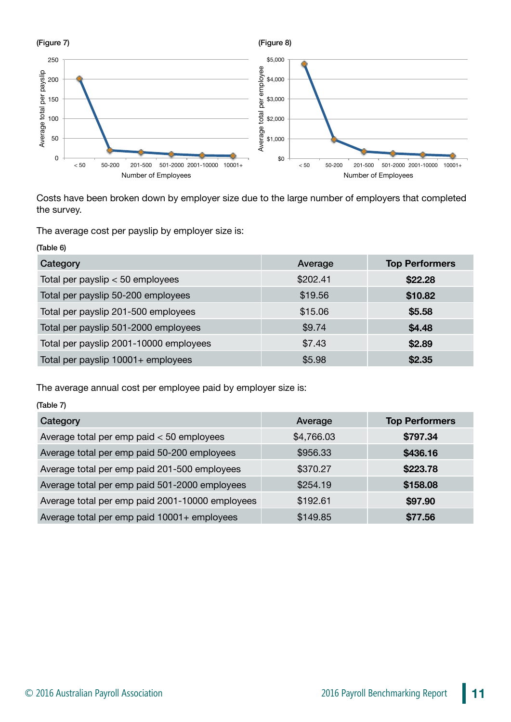

Costs have been broken down by employer size due to the large number of employers that completed the survey.

The average cost per payslip by employer size is:

| (Table 6)                              |          |                       |
|----------------------------------------|----------|-----------------------|
| Category                               | Average  | <b>Top Performers</b> |
| Total per payslip $< 50$ employees     | \$202.41 | \$22.28               |
| Total per payslip 50-200 employees     | \$19.56  | \$10.82               |
| Total per payslip 201-500 employees    | \$15.06  | \$5.58                |
| Total per payslip 501-2000 employees   | \$9.74   | \$4.48                |
| Total per payslip 2001-10000 employees | \$7.43   | \$2.89                |
| Total per payslip 10001+ employees     | \$5.98   | \$2.35                |

The average annual cost per employee paid by employer size is:

| (Table 7)                                       |            |                       |  |  |
|-------------------------------------------------|------------|-----------------------|--|--|
| Category                                        | Average    | <b>Top Performers</b> |  |  |
| Average total per emp paid $<$ 50 employees     | \$4,766.03 | \$797.34              |  |  |
| Average total per emp paid 50-200 employees     | \$956.33   | \$436.16              |  |  |
| Average total per emp paid 201-500 employees    | \$370.27   | \$223.78              |  |  |
| Average total per emp paid 501-2000 employees   | \$254.19   | \$158.08              |  |  |
| Average total per emp paid 2001-10000 employees | \$192.61   | \$97.90               |  |  |
| Average total per emp paid 10001+ employees     | \$149.85   | \$77.56               |  |  |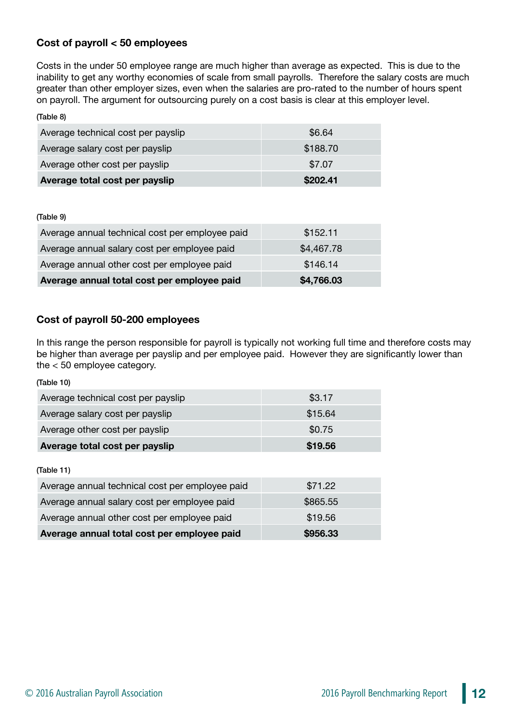#### **Cost of payroll < 50 employees**

Costs in the under 50 employee range are much higher than average as expected. This is due to the inability to get any worthy economies of scale from small payrolls. Therefore the salary costs are much greater than other employer sizes, even when the salaries are pro-rated to the number of hours spent on payroll. The argument for outsourcing purely on a cost basis is clear at this employer level.

| (Table 8)                          |          |
|------------------------------------|----------|
| Average technical cost per payslip | \$6.64   |
| Average salary cost per payslip    | \$188.70 |
| Average other cost per payslip     | \$7.07   |
| Average total cost per payslip     | \$202.41 |

(Table 9)

| Average annual total cost per employee paid     | \$4,766.03 |
|-------------------------------------------------|------------|
| Average annual other cost per employee paid     | \$146.14   |
| Average annual salary cost per employee paid    | \$4,467.78 |
| Average annual technical cost per employee paid | \$152.11   |
|                                                 |            |

#### **Cost of payroll 50-200 employees**

In this range the person responsible for payroll is typically not working full time and therefore costs may be higher than average per payslip and per employee paid. However they are significantly lower than the < 50 employee category.

| (Table 10)                                      |          |
|-------------------------------------------------|----------|
| Average technical cost per payslip              | \$3.17   |
| Average salary cost per payslip                 | \$15.64  |
| Average other cost per payslip                  | \$0.75   |
| Average total cost per payslip                  | \$19.56  |
| (Table 11)                                      |          |
| Average annual technical cost per employee paid | \$71.22  |
| Average annual salary cost per employee paid    | \$865.55 |
| Average annual other cost per employee paid     | \$19.56  |
| Average annual total cost per employee paid     | \$956.33 |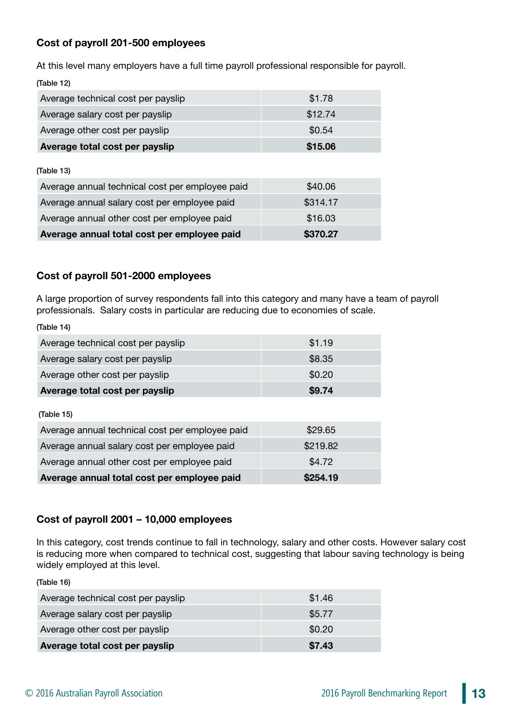#### **Cost of payroll 201-500 employees**

At this level many employers have a full time payroll professional responsible for payroll. (Table 12)

| Average technical cost per payslip              | \$1.78   |
|-------------------------------------------------|----------|
| Average salary cost per payslip                 | \$12.74  |
| Average other cost per payslip                  | \$0.54   |
| Average total cost per payslip                  | \$15.06  |
| (Table 13)                                      |          |
| Average annual technical cost per employee paid | \$40.06  |
| Average annual salary cost per employee paid    | \$314.17 |
| Average annual other cost per employee paid     | \$16.03  |
| Average annual total cost per employee paid     | \$370.27 |

#### **Cost of payroll 501-2000 employees**

A large proportion of survey respondents fall into this category and many have a team of payroll professionals. Salary costs in particular are reducing due to economies of scale.

(Table 14) Average technical cost per payslip  $$1.19$ Average salary cost per payslip **\$8.35** Average salary cost per payslip Average other cost per payslip  $$0.20$ **Average total cost per payslip Average total cost per payslip \$9.74**  (Table 15) Average annual technical cost per employee paid \$29.65 Average annual salary cost per employee paid  $$219.82$ Average annual other cost per employee paid  $$4.72$ **Average annual total cost per employee paid \$254.19**

#### **Cost of payroll 2001 – 10,000 employees**

In this category, cost trends continue to fall in technology, salary and other costs. However salary cost is reducing more when compared to technical cost, suggesting that labour saving technology is being widely employed at this level.

(Table 16)

| Average technical cost per payslip | \$1.46 |
|------------------------------------|--------|
| Average salary cost per payslip    | \$5.77 |
| Average other cost per payslip     | \$0.20 |
| Average total cost per payslip     | \$7.43 |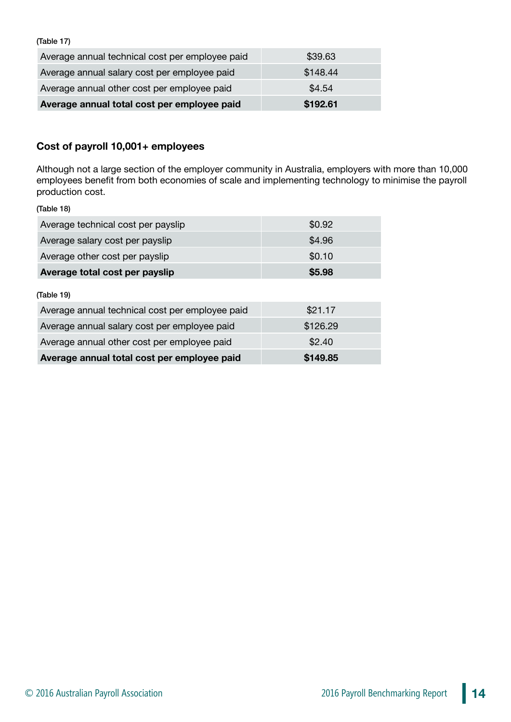(Table 17)

| Average annual technical cost per employee paid | \$39.63  |
|-------------------------------------------------|----------|
| Average annual salary cost per employee paid    | \$148.44 |
| Average annual other cost per employee paid     | \$4.54   |
| Average annual total cost per employee paid     | \$192.61 |

#### **Cost of payroll 10,001+ employees**

Although not a large section of the employer community in Australia, employers with more than 10,000 employees benefit from both economies of scale and implementing technology to minimise the payroll production cost.

(Table 18)

| Average technical cost per payslip | \$0.92                                                   |
|------------------------------------|----------------------------------------------------------|
| Average salary cost per payslip    | \$4.96                                                   |
| Average other cost per payslip     | \$0.10                                                   |
| Average total cost per payslip     | \$5.98                                                   |
| (Table 19)                         |                                                          |
|                                    | $\mathbf{A} \mathbf{A} \mathbf{A} \mathbf{A} \mathbf{A}$ |

| Average annual total cost per employee paid     | \$149.85 |
|-------------------------------------------------|----------|
| Average annual other cost per employee paid     | \$2.40   |
| Average annual salary cost per employee paid    | \$126.29 |
| Average annual technical cost per employee paid | \$21.17  |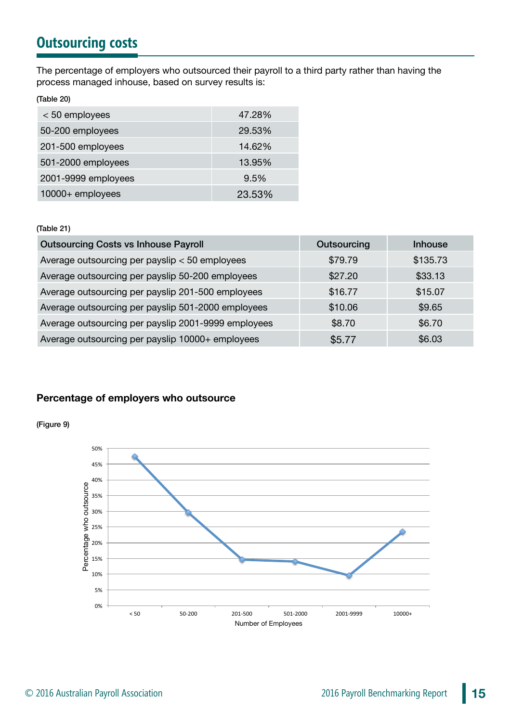# **Outsourcing costs**

The percentage of employers who outsourced their payroll to a third party rather than having the process managed inhouse, based on survey results is:

(Table 20)

| < 50 employees      | 47.28% |
|---------------------|--------|
| 50-200 employees    | 29.53% |
| 201-500 employees   | 14.62% |
| 501-2000 employees  | 13.95% |
| 2001-9999 employees | 9.5%   |
| 10000+ employees    | 23.53% |

#### (Table 21)

| <b>Outsourcing Costs vs Inhouse Payroll</b>         | Outsourcing | <b>Inhouse</b> |
|-----------------------------------------------------|-------------|----------------|
| Average outsourcing per payslip < 50 employees      | \$79.79     | \$135.73       |
| Average outsourcing per payslip 50-200 employees    | \$27.20     | \$33.13        |
| Average outsourcing per payslip 201-500 employees   | \$16.77     | \$15.07        |
| Average outsourcing per payslip 501-2000 employees  | \$10.06     | \$9.65         |
| Average outsourcing per payslip 2001-9999 employees | \$8.70      | \$6.70         |
| Average outsourcing per payslip 10000+ employees    | \$5.77      | \$6.03         |

#### **Percentage of employers who outsource**



(Figure 9)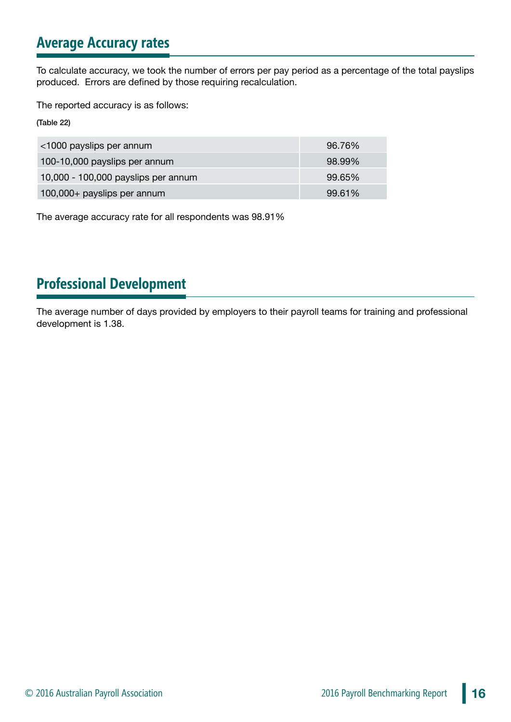# **Average Accuracy rates**

To calculate accuracy, we took the number of errors per pay period as a percentage of the total payslips produced. Errors are defined by those requiring recalculation.

The reported accuracy is as follows:

(Table 22)

| <1000 payslips per annum            | 96.76% |
|-------------------------------------|--------|
| 100-10,000 payslips per annum       | 98.99% |
| 10,000 - 100,000 payslips per annum | 99.65% |
| 100,000+ payslips per annum         | 99.61% |

The average accuracy rate for all respondents was 98.91%

# **Professional Development**

The average number of days provided by employers to their payroll teams for training and professional development is 1.38.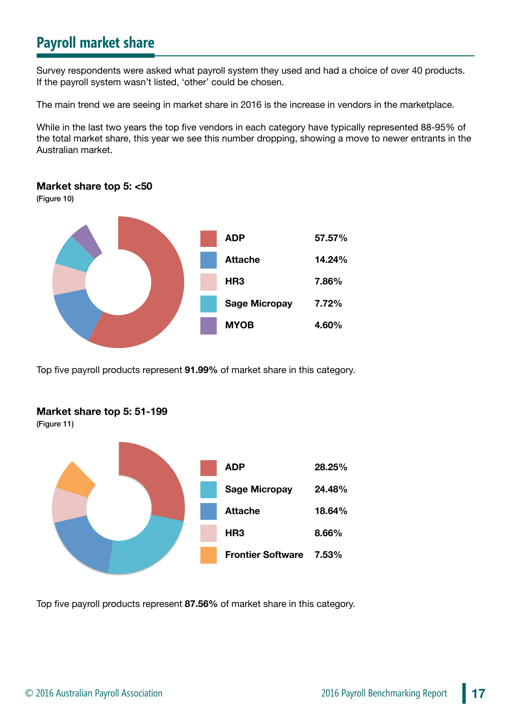# **Payroll market share**

Survey respondents were asked what payroll system they used and had a choice of over 40 products. If the payroll system wasn't listed, 'other' could be chosen.

The main trend we are seeing in market share in 2016 is the increase in vendors in the marketplace.

While in the last two years the top five vendors in each category have typically represented 88-95% of the total market share, this year we see this number dropping, showing a move to newer entrants in the Australian market.

#### **Market share top 5: <50**

(Figure 10)



Top five payroll products represent **91.99%** of market share in this category.



(Figure 11)



Top five payroll products represent **87.56%** of market share in this category.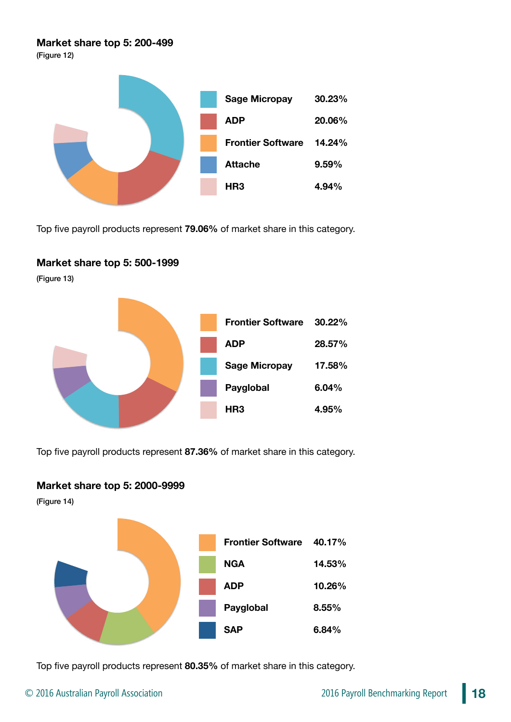#### **Market share top 5: 200-499**

(Figure 12)



Top five payroll products represent **79.06%** of market share in this category.

#### **Market share top 5: 500-1999**

(Figure 13)



Top five payroll products represent **87.36%** of market share in this category.

#### **Market share top 5: 2000-9999**

(Figure 14)



Top five payroll products represent **80.35%** of market share in this category.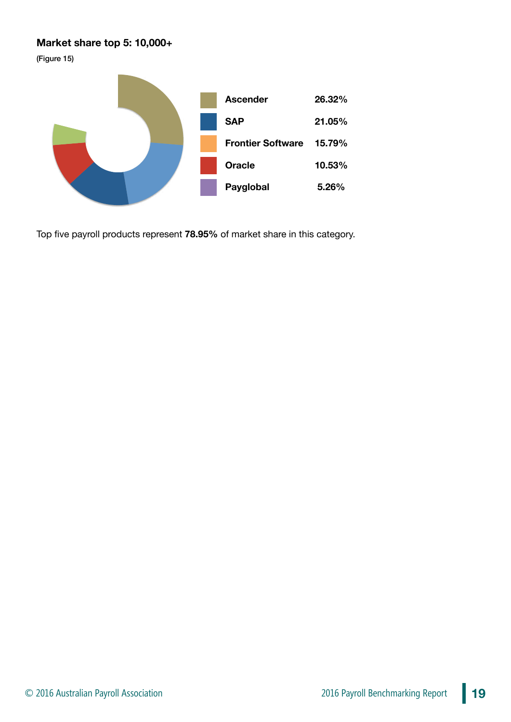#### **Market share top 5: 10,000+**

(Figure 15)



Top five payroll products represent **78.95%** of market share in this category.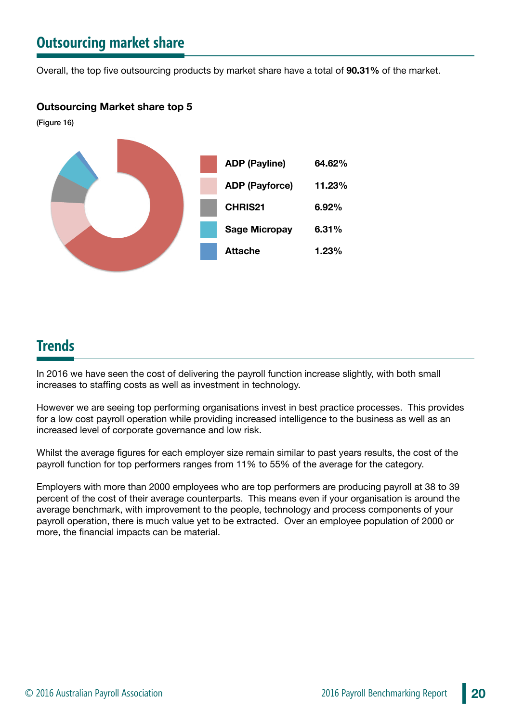# **Outsourcing market share**

Overall, the top five outsourcing products by market share have a total of **90.31%** of the market.

#### **Outsourcing Market share top 5**

(Figure 16)



### **Trends**

In 2016 we have seen the cost of delivering the payroll function increase slightly, with both small increases to staffing costs as well as investment in technology.

However we are seeing top performing organisations invest in best practice processes. This provides for a low cost payroll operation while providing increased intelligence to the business as well as an increased level of corporate governance and low risk.

Whilst the average figures for each employer size remain similar to past years results, the cost of the payroll function for top performers ranges from 11% to 55% of the average for the category.

Employers with more than 2000 employees who are top performers are producing payroll at 38 to 39 percent of the cost of their average counterparts. This means even if your organisation is around the average benchmark, with improvement to the people, technology and process components of your payroll operation, there is much value yet to be extracted. Over an employee population of 2000 or more, the financial impacts can be material.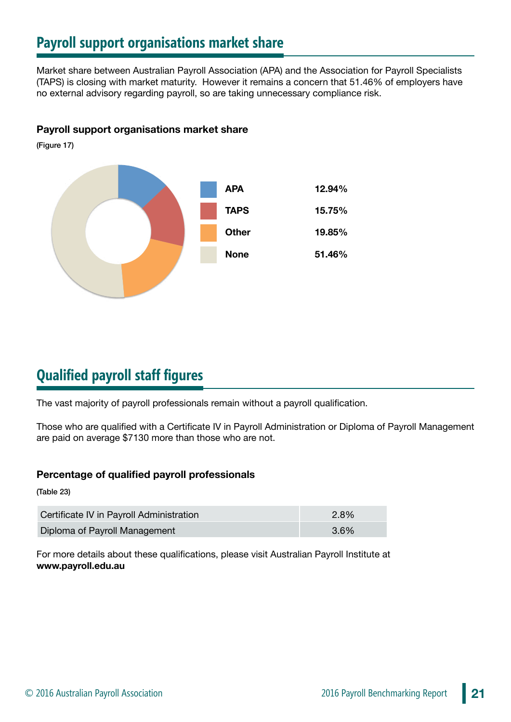# **Payroll support organisations market share**

Market share between Australian Payroll Association (APA) and the Association for Payroll Specialists (TAPS) is closing with market maturity. However it remains a concern that 51.46% of employers have no external advisory regarding payroll, so are taking unnecessary compliance risk.

#### **Payroll support organisations market share**

(Figure 17)



# **Qualified payroll staff figures**

The vast majority of payroll professionals remain without a payroll qualification.

Those who are qualified with a Certificate IV in Payroll Administration or Diploma of Payroll Management are paid on average \$7130 more than those who are not.

#### **Percentage of qualified payroll professionals**

(Table 23)

| Certificate IV in Payroll Administration | $2.8\%$ |
|------------------------------------------|---------|
| Diploma of Payroll Management            | 3.6%    |

For more details about these qualifications, please visit Australian Payroll Institute at **www.payroll.edu.au**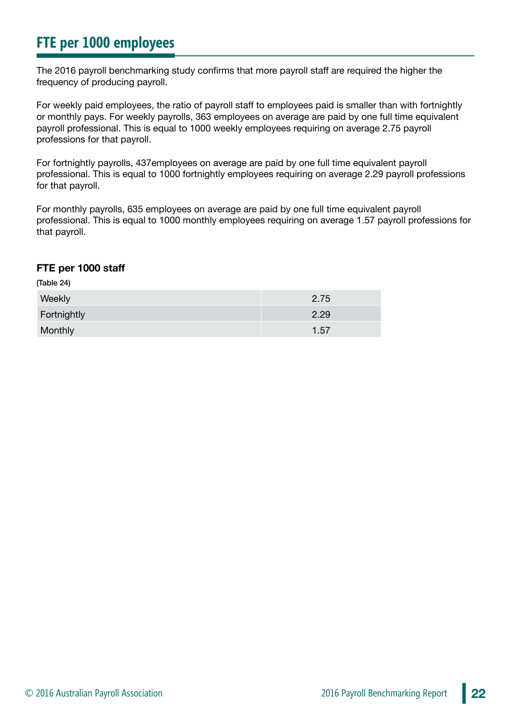# **FTE per 1000 employees**

The 2016 payroll benchmarking study confirms that more payroll staff are required the higher the frequency of producing payroll.

For weekly paid employees, the ratio of payroll staff to employees paid is smaller than with fortnightly or monthly pays. For weekly payrolls, 363 employees on average are paid by one full time equivalent payroll professional. This is equal to 1000 weekly employees requiring on average 2.75 payroll professions for that payroll.

For fortnightly payrolls, 437employees on average are paid by one full time equivalent payroll professional. This is equal to 1000 fortnightly employees requiring on average 2.29 payroll professions for that payroll.

For monthly payrolls, 635 employees on average are paid by one full time equivalent payroll professional. This is equal to 1000 monthly employees requiring on average 1.57 payroll professions for that payroll.

#### **FTE per 1000 staff**

(Table 24)

| Weekly      | 2.75 |
|-------------|------|
| Fortnightly | 2.29 |
| Monthly     | 1.57 |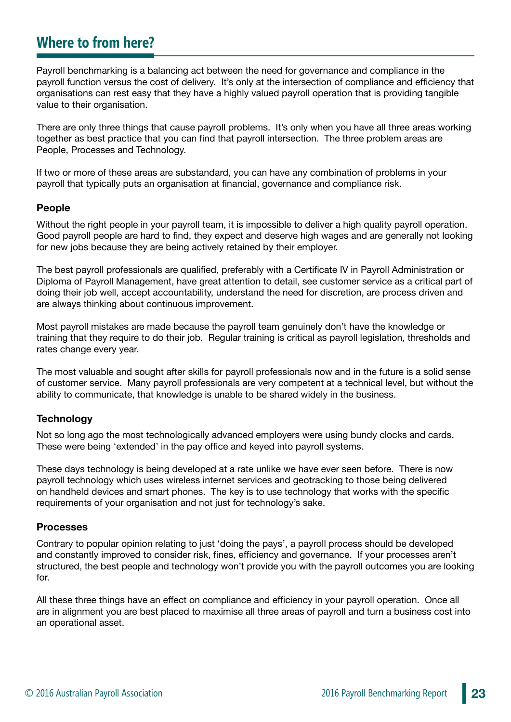### **Where to from here?**

Payroll benchmarking is a balancing act between the need for governance and compliance in the payroll function versus the cost of delivery. It's only at the intersection of compliance and efficiency that organisations can rest easy that they have a highly valued payroll operation that is providing tangible value to their organisation.

There are only three things that cause payroll problems. It's only when you have all three areas working together as best practice that you can find that payroll intersection. The three problem areas are People, Processes and Technology.

If two or more of these areas are substandard, you can have any combination of problems in your payroll that typically puts an organisation at financial, governance and compliance risk.

#### **People**

Without the right people in your payroll team, it is impossible to deliver a high quality payroll operation. Good payroll people are hard to find, they expect and deserve high wages and are generally not looking for new jobs because they are being actively retained by their employer.

The best payroll professionals are qualified, preferably with a Certificate IV in Payroll Administration or Diploma of Payroll Management, have great attention to detail, see customer service as a critical part of doing their job well, accept accountability, understand the need for discretion, are process driven and are always thinking about continuous improvement.

Most payroll mistakes are made because the payroll team genuinely don't have the knowledge or training that they require to do their job. Regular training is critical as payroll legislation, thresholds and rates change every year.

The most valuable and sought after skills for payroll professionals now and in the future is a solid sense of customer service. Many payroll professionals are very competent at a technical level, but without the ability to communicate, that knowledge is unable to be shared widely in the business.

#### **Technology**

Not so long ago the most technologically advanced employers were using bundy clocks and cards. These were being 'extended' in the pay office and keyed into payroll systems.

These days technology is being developed at a rate unlike we have ever seen before. There is now payroll technology which uses wireless internet services and geotracking to those being delivered on handheld devices and smart phones. The key is to use technology that works with the specific requirements of your organisation and not just for technology's sake.

#### **Processes**

Contrary to popular opinion relating to just 'doing the pays', a payroll process should be developed and constantly improved to consider risk, fines, efficiency and governance. If your processes aren't structured, the best people and technology won't provide you with the payroll outcomes you are looking for.

All these three things have an effect on compliance and efficiency in your payroll operation. Once all are in alignment you are best placed to maximise all three areas of payroll and turn a business cost into an operational asset.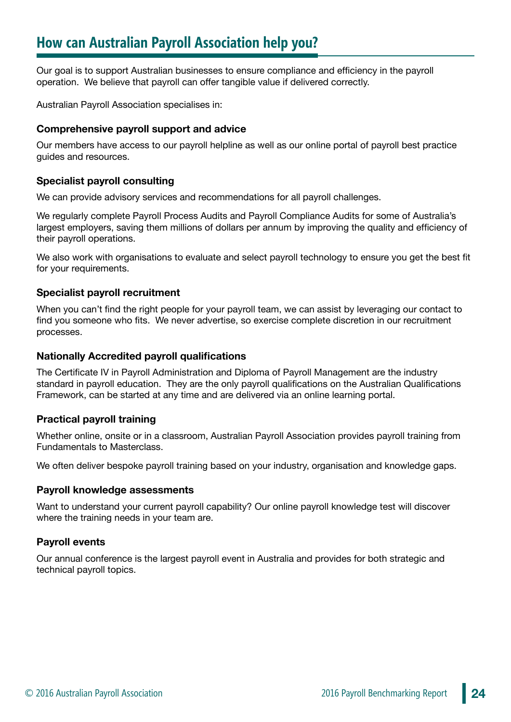Our goal is to support Australian businesses to ensure compliance and efficiency in the payroll operation. We believe that payroll can offer tangible value if delivered correctly.

Australian Payroll Association specialises in:

#### **Comprehensive payroll support and advice**

Our members have access to our payroll helpline as well as our online portal of payroll best practice guides and resources.

#### **Specialist payroll consulting**

We can provide advisory services and recommendations for all payroll challenges.

We regularly complete Payroll Process Audits and Payroll Compliance Audits for some of Australia's largest employers, saving them millions of dollars per annum by improving the quality and efficiency of their payroll operations.

We also work with organisations to evaluate and select payroll technology to ensure you get the best fit for your requirements.

#### **Specialist payroll recruitment**

When you can't find the right people for your payroll team, we can assist by leveraging our contact to find you someone who fits. We never advertise, so exercise complete discretion in our recruitment processes.

#### **Nationally Accredited payroll qualifications**

The Certificate IV in Payroll Administration and Diploma of Payroll Management are the industry standard in payroll education. They are the only payroll qualifications on the Australian Qualifications Framework, can be started at any time and are delivered via an online learning portal.

#### **Practical payroll training**

Whether online, onsite or in a classroom, Australian Payroll Association provides payroll training from Fundamentals to Masterclass.

We often deliver bespoke payroll training based on your industry, organisation and knowledge gaps.

#### **Payroll knowledge assessments**

Want to understand your current payroll capability? Our online payroll knowledge test will discover where the training needs in your team are.

#### **Payroll events**

Our annual conference is the largest payroll event in Australia and provides for both strategic and technical payroll topics.